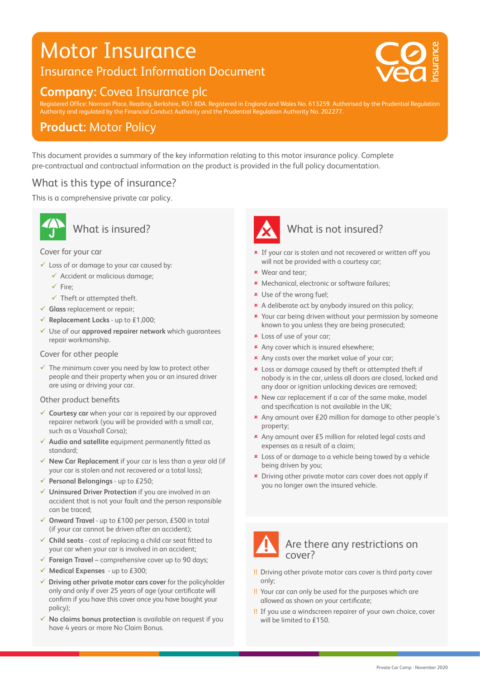# Motor Insurance

## Insurance Product Information Document





20 0 0 75 V : 20 0 75 V : 20 0 75 V : 20 0 75 V : 20 0 75 V : 20 0 75 V : 20 0 75 V : 20 0 75 V : 20 0 75 V :

Registered Office: Norman Place, Reading, Berkshire, RG1 8DA. Registered in England and Wales No. 613259. Authorised by the Prudential Regulation Authority and regulated by the Financial Conduct Authority and the Prudential Regulation Authority No. 202277.

## **Product:** Motor Policy

This document provides a summary of the key information relating to this motor insurance policy. Complete pre-contractual and contractual information on the product is provided in the full policy documentation.

### What is this type of insurance?

This is a comprehensive private car policy.



## What is insured?

#### Cover for your car

- $\checkmark$  Loss of or damage to your car caused by:
	- $\checkmark$  Accident or malicious damage;
	- $\sqrt{\phantom{a}}$ Fire;
	- $\checkmark$  Theft or attempted theft.
- **Glass** replacement or repair;
- **Replacement Locks** up to £1,000;
- Use of our **approved repairer network** which guarantees repair workmanship.

#### Cover for other people

 $\checkmark$  The minimum cover you need by law to protect other people and their property when you or an insured driver are using or driving your car.

#### Other product benefits

- **Courtesy car** when your car is repaired by our approved repairer network (you will be provided with a small car, such as a Vauxhall Corsa);
- **Audio and satellite** equipment permanently fitted as standard;
- **New Car Replacement** if your car is less than a year old (if your car is stolen and not recovered or a total loss);
- **Personal Belongings** up to £250;
- **Uninsured Driver Protection** if you are involved in an accident that is not your fault and the person responsible can be traced;
- **Onward Travel** up to £100 per person, £500 in total (if your car cannot be driven after an accident);
- **Child seats** cost of replacing a child car seat fitted to your car when your car is involved in an accident;
- **Foreign Travel** comprehensive cover up to 90 days;
- **Medical Expenses** up to £300;
- **Driving other private motor cars cover** for the policyholder only and only if over 25 years of age (your certificate will confirm if you have this cover once you have bought your policy);
- **No claims bonus protection** is available on request if you have 4 years or more No Claim Bonus.



#### What is not insured?

- **\*** If your car is stolen and not recovered or written off you will not be provided with a courtesy car;
- Wear and tear;
- \* Mechanical, electronic or software failures;
- Use of the wrong fuel;
- \* A deliberate act by anybody insured on this policy:
- **x** Your car being driven without your permission by someone known to you unless they are being prosecuted;
- Loss of use of your car;
- \* Any cover which is insured elsewhere;
- \* Any costs over the market value of your car;
- **x** Loss or damage caused by theft or attempted theft if nobody is in the car, unless all doors are closed, locked and any door or ignition unlocking devices are removed;
- **\*** New car replacement if a car of the same make, model and specification is not available in the UK;
- Any amount over £20 million for damage to other people's property;
- Any amount over £5 million for related legal costs and expenses as a result of a claim;
- **x** Loss of or damage to a vehicle being towed by a vehicle being driven by you;
- **x** Driving other private motor cars cover does not apply if you no longer own the insured vehicle.



- !! Driving other private motor cars cover is third party cover only;
- !! Your car can only be used for the purposes which are allowed as shown on your certificate;
- !! If you use a windscreen repairer of your own choice, cover will be limited to £150.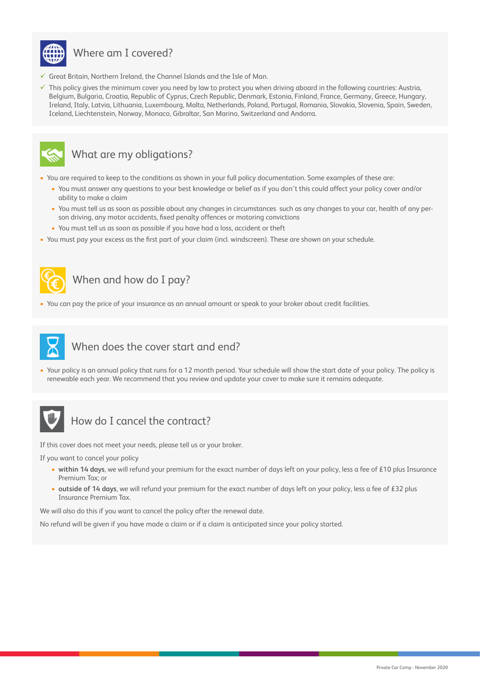

## Where am I covered?

- $\checkmark$  Great Britain, Northern Ireland, the Channel Islands and the Isle of Man.
- $\checkmark$  This policy gives the minimum cover you need by law to protect you when driving aboard in the following countries: Austria, Belgium, Bulgaria, Croatia, Republic of Cyprus, Czech Republic, Denmark, Estonia, Finland, France, Germany, Greece, Hungary, Ireland, Italy, Latvia, Lithuania, Luxembourg, Malta, Netherlands, Poland, Portugal, Romania, Slovakia, Slovenia, Spain, Sweden, Iceland, Liechtenstein, Norway, Monaco, Gibraltar, San Marino, Switzerland and Andorra.



#### What are my obligations?

- You are required to keep to the conditions as shown in your full policy documentation. Some examples of these are:
	- You must answer any questions to your best knowledge or belief as if you don't this could affect your policy cover and/or ability to make a claim
	- You must tell us as soon as possible about any changes in circumstances such as any changes to your car, health of any person driving, any motor accidents, fixed penalty offences or motoring convictions
	- You must tell us as soon as possible if you have had a loss, accident or theft
- You must pay your excess as the first part of your claim (incl. windscreen). These are shown on your schedule.



## When and how do I pay?

• You can pay the price of your insurance as an annual amount or speak to your broker about credit facilities.



### When does the cover start and end?

• Your policy is an annual policy that runs for a 12 month period. Your schedule will show the start date of your policy. The policy is renewable each year. We recommend that you review and update your cover to make sure it remains adequate.



## How do I cancel the contract?

If this cover does not meet your needs, please tell us or your broker.

If you want to cancel your policy

- **within 14 days**, we will refund your premium for the exact number of days left on your policy, less a fee of £10 plus Insurance Premium Tax; or
- **outside of 14 days**, we will refund your premium for the exact number of days left on your policy, less a fee of £32 plus Insurance Premium Tax.

We will also do this if you want to cancel the policy after the renewal date.

No refund will be given if you have made a claim or if a claim is anticipated since your policy started.